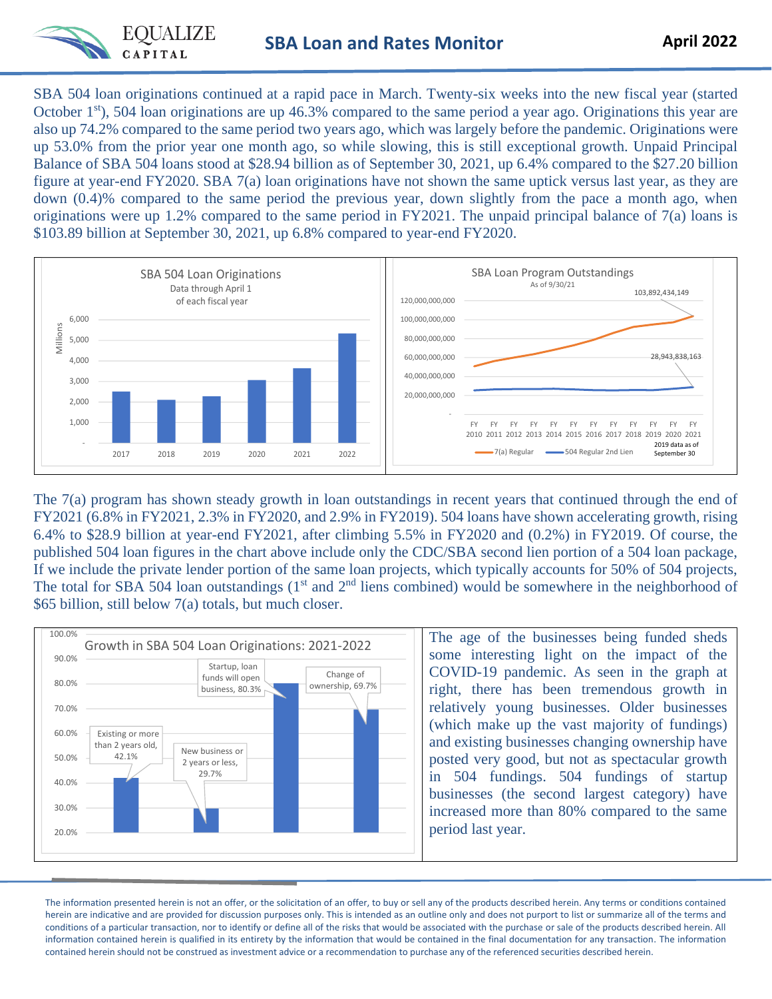

SBA 504 loan originations continued at a rapid pace in March. Twenty-six weeks into the new fiscal year (started October  $1<sup>st</sup>$ , 504 loan originations are up 46.3% compared to the same period a year ago. Originations this year are also up 74.2% compared to the same period two years ago, which was largely before the pandemic. Originations were up 53.0% from the prior year one month ago, so while slowing, this is still exceptional growth. Unpaid Principal Balance of SBA 504 loans stood at \$28.94 billion as of September 30, 2021, up 6.4% compared to the \$27.20 billion figure at year-end FY2020. SBA 7(a) loan originations have not shown the same uptick versus last year, as they are down (0.4)% compared to the same period the previous year, down slightly from the pace a month ago, when originations were up 1.2% compared to the same period in FY2021. The unpaid principal balance of 7(a) loans is \$103.89 billion at September 30, 2021, up 6.8% compared to year-end FY2020.



The 7(a) program has shown steady growth in loan outstandings in recent years that continued through the end of FY2021 (6.8% in FY2021, 2.3% in FY2020, and 2.9% in FY2019). 504 loans have shown accelerating growth, rising 6.4% to \$28.9 billion at year-end FY2021, after climbing 5.5% in FY2020 and (0.2%) in FY2019. Of course, the published 504 loan figures in the chart above include only the CDC/SBA second lien portion of a 504 loan package, If we include the private lender portion of the same loan projects, which typically accounts for 50% of 504 projects, The total for SBA 504 loan outstandings (1<sup>st</sup> and 2<sup>nd</sup> liens combined) would be somewhere in the neighborhood of \$65 billion, still below 7(a) totals, but much closer.



The information presented herein is not an offer, or the solicitation of an offer, to buy or sell any of the products described herein. Any terms or conditions contained herein are indicative and are provided for discussion purposes only. This is intended as an outline only and does not purport to list or summarize all of the terms and conditions of a particular transaction, nor to identify or define all of the risks that would be associated with the purchase or sale of the products described herein. All information contained herein is qualified in its entirety by the information that would be contained in the final documentation for any transaction. The information contained herein should not be construed as investment advice or a recommendation to purchase any of the referenced securities described herein.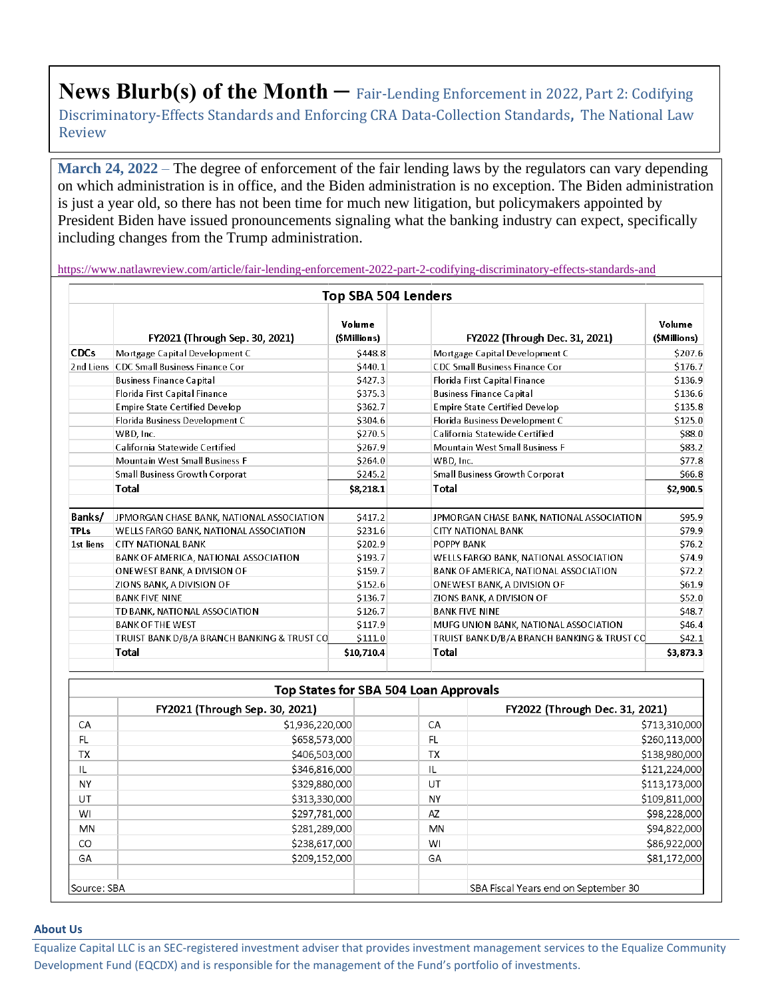**News Blurb(s) of the Month –** Fair-Lending Enforcement in 2022, Part 2: Codifying Discriminatory-Effects Standards and Enforcing CRA Data-Collection Standards**,** The National Law Review

**March 24, 2022** – The degree of enforcement of the fair lending laws by the regulators can vary depending on which administration is in office, and the Biden administration is no exception. The Biden administration is just a year old, so there has not been time for much new litigation, but policymakers appointed by President Biden have issued pronouncements signaling what the banking industry can expect, specifically including changes from the Trump administration.

<https://www.natlawreview.com/article/fair-lending-enforcement-2022-part-2-codifying-discriminatory-effects-standards-and>

|             |                                             | Top SBA 504 Lenders   |                                             |                        |
|-------------|---------------------------------------------|-----------------------|---------------------------------------------|------------------------|
|             | FY2021 (Through Sep. 30, 2021)              | Volume<br>(SMillions) | FY2022 (Through Dec. 31, 2021)              | Volume<br>(\$Millions) |
| <b>CDCs</b> | Mortgage Capital Development C              | \$448.8               | Mortgage Capital Development C              | \$207.6                |
|             | 2nd Liens CDC Small Business Finance Cor    | S440.1                | <b>CDC Small Business Finance Cor</b>       | \$176.7                |
|             | <b>Business Finance Capital</b>             | \$427.3               | Florida First Capital Finance               | \$136.9                |
|             | Florida First Capital Finance               | \$375.3               | <b>Business Finance Capital</b>             | \$136.6                |
|             | <b>Empire State Certified Develop</b>       | \$362.7               | <b>Empire State Certified Develop</b>       | \$135.8                |
|             | Florida Business Development C              | \$304.6               | Florida Business Development C              | \$125.0                |
|             | WBD, Inc.                                   | \$270.5               | California Statewide Certified              | <b>S88.0</b>           |
|             | California Statewide Certified              | \$267.9               | <b>Mountain West Small Business F</b>       | \$83.2                 |
|             | <b>Mountain West Small Business F</b>       | \$264.0               | WBD, Inc.                                   | \$77.8                 |
|             | <b>Small Business Growth Corporat</b>       | \$245.2               | <b>Small Business Growth Corporat</b>       | \$66.8                 |
|             | <b>Total</b>                                | \$8,218.1             | Total                                       | \$2,900.5              |
| Banks/      | JPMORGAN CHASE BANK, NATIONAL ASSOCIATION   | \$417.2               | JPMORGAN CHASE BANK, NATIONAL ASSOCIATION   | \$95.9                 |
| <b>TPLs</b> | WELLS FARGO BANK, NATIONAL ASSOCIATION      | \$231.6               | <b>CITY NATIONAL BANK</b>                   | \$79.9                 |
| 1st liens   | <b>CITY NATIONAL BANK</b>                   | \$202.9               | POPPY BANK                                  | \$76.2                 |
|             | BANK OF AMERICA, NATIONAL ASSOCIATION       | \$193.7               | WELLS FARGO BANK, NATIONAL ASSOCIATION      | \$74.9                 |
|             | ONEWEST BANK, A DIVISION OF                 | \$159.7               | BANK OF AMERICA, NATIONAL ASSOCIATION       | \$72.2                 |
|             | ZIONS BANK, A DIVISION OF                   | \$152.6               | ONEWEST BANK, A DIVISION OF                 | \$61.9                 |
|             | <b>BANK FIVE NINE</b>                       | \$136.7               | ZIONS BANK, A DIVISION OF                   | \$52.0                 |
|             | TD BANK, NATIONAL ASSOCIATION               | \$126.7               | <b>BANK FIVE NINE</b>                       | <b>S48.7</b>           |
|             | <b>BANK OF THE WEST</b>                     | \$117.9               | MUFG UNION BANK, NATIONAL ASSOCIATION       | \$46.4                 |
|             | TRUIST BANK D/B/A BRANCH BANKING & TRUST CO | \$111.0               | TRUIST BANK D/B/A BRANCH BANKING & TRUST CO | S42.1                  |
|             | Total                                       | \$10,710.4            | Total                                       | \$3,873.3              |

| <b>Top States for SBA 504 Loan Approvals</b> |                                |           |                                      |  |  |  |  |  |
|----------------------------------------------|--------------------------------|-----------|--------------------------------------|--|--|--|--|--|
|                                              | FY2021 (Through Sep. 30, 2021) |           | FY2022 (Through Dec. 31, 2021)       |  |  |  |  |  |
| CA                                           | \$1,936,220,000                | CA        | \$713,310,000                        |  |  |  |  |  |
| <b>FL</b>                                    | \$658,573,000                  | <b>FL</b> | \$260,113,000                        |  |  |  |  |  |
| <b>TX</b>                                    | \$406,503,000                  | <b>TX</b> | \$138,980,000                        |  |  |  |  |  |
| IL                                           | \$346,816,000                  | IL        | \$121,224,000                        |  |  |  |  |  |
| <b>NY</b>                                    | \$329,880,000                  | UT        | \$113,173,000                        |  |  |  |  |  |
| UT                                           | \$313,330,000                  | <b>NY</b> | \$109,811,000                        |  |  |  |  |  |
| WI                                           | \$297,781,000                  | AZ        | \$98,228,000                         |  |  |  |  |  |
| <b>MN</b>                                    | \$281,289,000                  | <b>MN</b> | \$94,822,000                         |  |  |  |  |  |
| CO                                           | \$238,617,000                  | WI        | \$86,922,000                         |  |  |  |  |  |
| GA                                           | \$209,152,000                  | GA        | \$81,172,000                         |  |  |  |  |  |
| Source: SBA                                  |                                |           | SBA Fiscal Years end on September 30 |  |  |  |  |  |

## **About Us**

Equalize Capital LLC is an SEC-registered investment adviser that provides investment management services to the Equalize Community Development Fund (EQCDX) and is responsible for the management of the Fund's portfolio of investments.